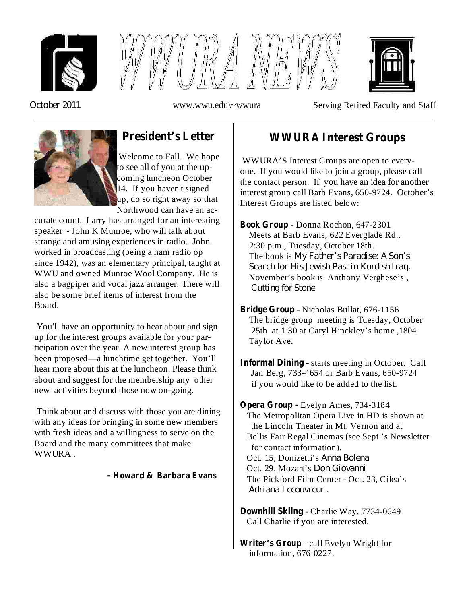





*October 2011*

www.wwu.edu\~wwura Serving Retired Faculty and Staff



# **President's Letter**

Welcome to Fall. We hope to see all of you at the upcoming luncheon October 14. If you haven't signed up, do so right away so that Northwood can have an ac-

curate count. Larry has arranged for an interesting speaker - John K Munroe, who will talk about strange and amusing experiences in radio. John worked in broadcasting (being a ham radio op since 1942), was an elementary principal, taught at WWU and owned Munroe Wool Company. He is also a bagpiper and vocal jazz arranger. There will also be some brief items of interest from the Board.

You'll have an opportunity to hear about and sign up for the interest groups available for your participation over the year. A new interest group has been proposed—a lunchtime get together. You'll hear more about this at the luncheon. Please think about and suggest for the membership any other new activities beyond those now on-going.

Think about and discuss with those you are dining with any ideas for bringing in some new members with fresh ideas and a willingness to serve on the Board and the many committees that make WWURA .

#### **- Howard & Barbara Evans**

## **WWURA Interest Groups**

WWURA'S Interest Groups are open to everyone. If you would like to join a group, please call the contact person. If you have an idea for another interest group call Barb Evans, 650-9724. October's Interest Groups are listed below:

*My Father's Paradise: A Son's* The book is *Search for His Jewish Past in Kurdish Iraq. Cutting for Stone* - Donna Rochon, 647-2301 **Book Group** Meets at Barb Evans, 622 Everglade Rd., 2:30 p.m., Tuesday, October 18th. November's book is Anthony Verghese's ,

- Bridge Group Nicholas Bullat, 676-1156 The bridge group meeting is Tuesday, October 25th at 1:30 at Caryl Hinckley's home ,1804 Taylor Ave.
- **Informal Dining** starts meeting in October. Call Jan Berg, 733-4654 or Barb Evans, 650-9724 if you would like to be added to the list.

Oct. 15, Donizetti's Anna Bolena *Don Giovanni* Oct. 29, Mozart's *Adriana Lecouvreur .* Evelyn Ames, 734-3184 **Opera Group -** The Metropolitan Opera Live in HD is shown at the Lincoln Theater in Mt. Vernon and at Bellis Fair Regal Cinemas (see Sept.'s Newsletter for contact information). The Pickford Film Center - Oct. 23, Cilea's

**Downhill Skiing** - Charlie Way, 7734-0649 Call Charlie if you are interested.

Writer's Group - call Evelyn Wright for information, 676-0227.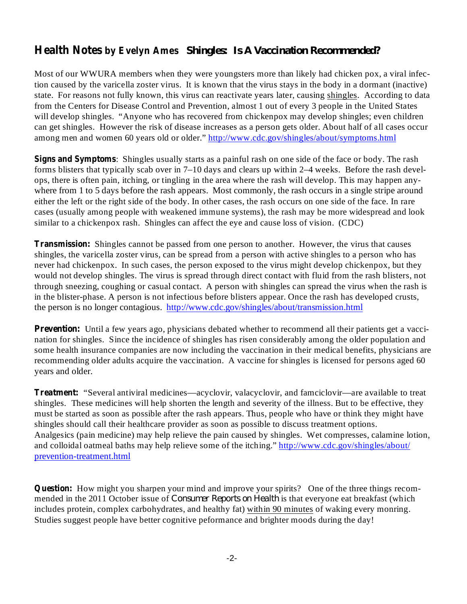## **Health Notes by Evelyn Ames** *Shingles: Is A Vaccination Recommended?*

Most of our WWURA members when they were youngsters more than likely had chicken pox, a viral infection caused by the varicella zoster virus. It is known that the virus stays in the body in a dormant (inactive) state. For reasons not fully known, this virus can reactivate years later, causing shingles. According to data from the Centers for Disease Control and Prevention, almost 1 out of every 3 people in the United States will develop shingles. "Anyone who has recovered from chickenpox may develop shingles; even children can get shingles. However the risk of disease increases as a person gets older. About half of all cases occur among men and women 60 years old or older." http://www.cdc.gov/shingles/about/symptoms.html

**Signs and Symptoms** : Shingles usually starts as a painful rash on one side of the face or body. The rash forms blisters that typically scab over in 7–10 days and clears up within 2–4 weeks. Before the rash develops, there is often pain, itching, or tingling in the area where the rash will develop. This may happen anywhere from 1 to 5 days before the rash appears. Most commonly, the rash occurs in a single stripe around either the left or the right side of the body. In other cases, the rash occurs on one side of the face. In rare cases (usually among people with weakened immune systems), the rash may be more widespread and look similar to a chickenpox rash. Shingles can affect the eye and cause loss of vision. (CDC)

**Transmission:** Shingles cannot be passed from one person to another. However, the virus that causes shingles, the varicella zoster virus, can be spread from a person with active shingles to a person who has never had chickenpox. In such cases, the person exposed to the virus might develop chickenpox, but they would not develop shingles. The virus is spread through direct contact with fluid from the rash blisters, not through sneezing, coughing or casual contact. A person with shingles can spread the virus when the rash is in the blister-phase. A person is not infectious before blisters appear. Once the rash has developed crusts, the person is no longer contagious. http://www.cdc.gov/shingles/about/transmission.html

**Prevention:** Until a few years ago, physicians debated whether to recommend all their patients get a vaccination for shingles. Since the incidence of shingles has risen considerably among the older population and some health insurance companies are now including the vaccination in their medical benefits, physicians are recommending older adults acquire the vaccination. A vaccine for shingles is licensed for persons aged 60 years and older.

**Treatment:** "Several antiviral medicines—acyclovir, valacyclovir, and famciclovir—are available to treat shingles. These medicines will help shorten the length and severity of the illness. But to be effective, they must be started as soon as possible after the rash appears. Thus, people who have or think they might have shingles should call their healthcare provider as soon as possible to discuss treatment options. Analgesics (pain medicine) may help relieve the pain caused by shingles. Wet compresses, calamine lotion, and colloidal oatmeal baths may help relieve some of the itching." http://www.cdc.gov/shingles/about/ prevention-treatment.html

**Question:** How might you sharpen your mind and improve your spirits? One of the three things recommended in the 2011 October issue of *Consumer Reports on Health* is that everyone eat breakfast (which includes protein, complex carbohydrates, and healthy fat) within 90 minutes of waking every monring. Studies suggest people have better cognitive peformance and brighter moods during the day!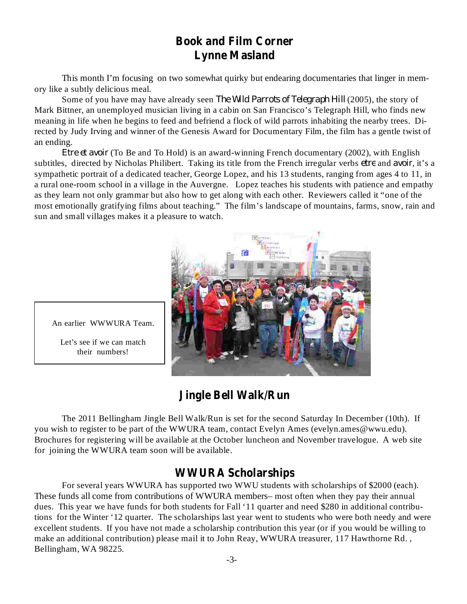# **Book and Film Corner Lynne Masland**

This month I'm focusing on two somewhat quirky but endearing documentaries that linger in memory like a subtly delicious meal.

Some of you have may have already seen *The Wild Parrots of Telegraph Hill* (2005), the story of Mark Bittner, an unemployed musician living in a cabin on San Francisco's Telegraph Hill, who finds new meaning in life when he begins to feed and befriend a flock of wild parrots inhabiting the nearby trees. Directed by Judy Irving and winner of the Genesis Award for Documentary Film, the film has a gentle twist of an ending.

Etre et avoir (To Be and To Hold) is an award-winning French documentary (2002), with English subtitles, directed by Nicholas Philibert. Taking its title from the French irregular verbs *etre* and *avoir*, it's a sympathetic portrait of a dedicated teacher, George Lopez, and his 13 students, ranging from ages 4 to 11, in a rural one-room school in a village in the Auvergne. Lopez teaches his students with patience and empathy as they learn not only grammar but also how to get along with each other. Reviewers called it "one of the most emotionally gratifying films about teaching." The film's landscape of mountains, farms, snow, rain and sun and small villages makes it a pleasure to watch.



An earlier WWWURA Team.

Let's see if we can match their numbers!

# **Jingle Bell Walk/Run**

The 2011 Bellingham Jingle Bell Walk/Run is set for the second Saturday In December (10th). If you wish to register to be part of the WWURA team, contact Evelyn Ames (evelyn.ames@wwu.edu). Brochures for registering will be available at the October luncheon and November travelogue. A web site for joining the WWURA team soon will be available.

### **WWURA Scholarships**

For several years WWURA has supported two WWU students with scholarships of \$2000 (each). These funds all come from contributions of WWURA members– most often when they pay their annual dues. This year we have funds for both students for Fall '11 quarter and need \$280 in additional contributions for the Winter '12 quarter. The scholarships last year went to students who were both needy and were excellent students. If you have not made a scholarship contribution this year (or if you would be willing to make an additional contribution) please mail it to John Reay, WWURA treasurer, 117 Hawthorne Rd. , Bellingham, WA 98225.